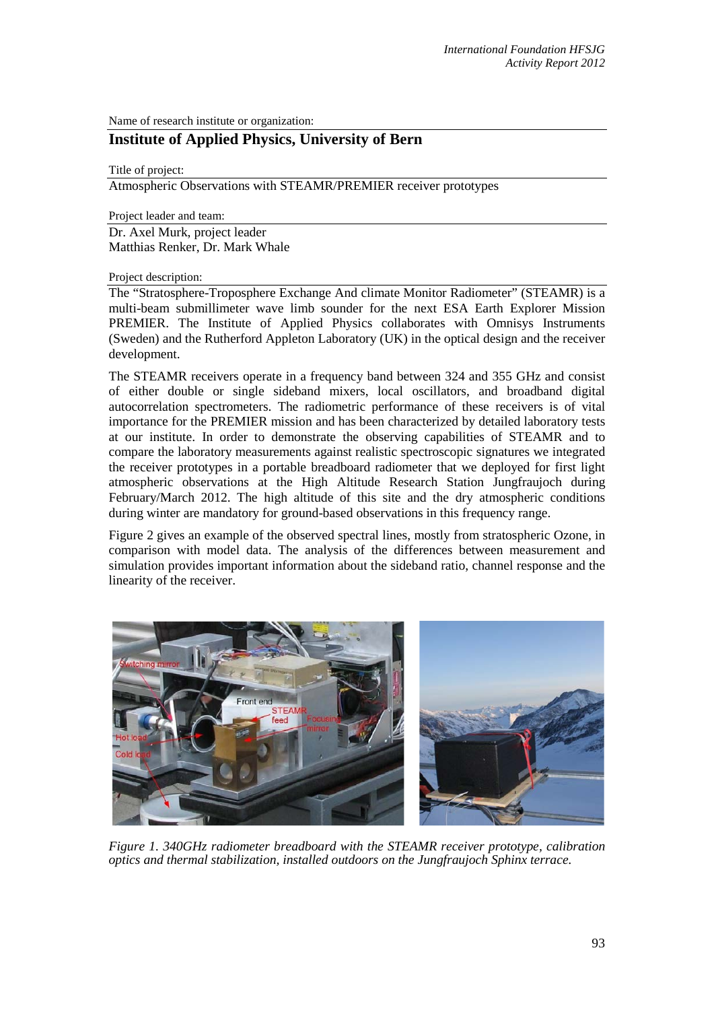Name of research institute or organization:

## **Institute of Applied Physics, University of Bern**

Title of project:

Atmospheric Observations with STEAMR/PREMIER receiver prototypes

Project leader and team:

Dr. Axel Murk, project leader Matthias Renker, Dr. Mark Whale

Project description:

The "Stratosphere-Troposphere Exchange And climate Monitor Radiometer" (STEAMR) is a multi-beam submillimeter wave limb sounder for the next ESA Earth Explorer Mission PREMIER. The Institute of Applied Physics collaborates with Omnisys Instruments (Sweden) and the Rutherford Appleton Laboratory (UK) in the optical design and the receiver development.

The STEAMR receivers operate in a frequency band between 324 and 355 GHz and consist of either double or single sideband mixers, local oscillators, and broadband digital autocorrelation spectrometers. The radiometric performance of these receivers is of vital importance for the PREMIER mission and has been characterized by detailed laboratory tests at our institute. In order to demonstrate the observing capabilities of STEAMR and to compare the laboratory measurements against realistic spectroscopic signatures we integrated the receiver prototypes in a portable breadboard radiometer that we deployed for first light atmospheric observations at the High Altitude Research Station Jungfraujoch during February/March 2012. The high altitude of this site and the dry atmospheric conditions during winter are mandatory for ground-based observations in this frequency range.

Figure 2 gives an example of the observed spectral lines, mostly from stratospheric Ozone, in comparison with model data. The analysis of the differences between measurement and simulation provides important information about the sideband ratio, channel response and the linearity of the receiver.



*Figure 1. 340GHz radiometer breadboard with the STEAMR receiver prototype, calibration optics and thermal stabilization, installed outdoors on the Jungfraujoch Sphinx terrace.*